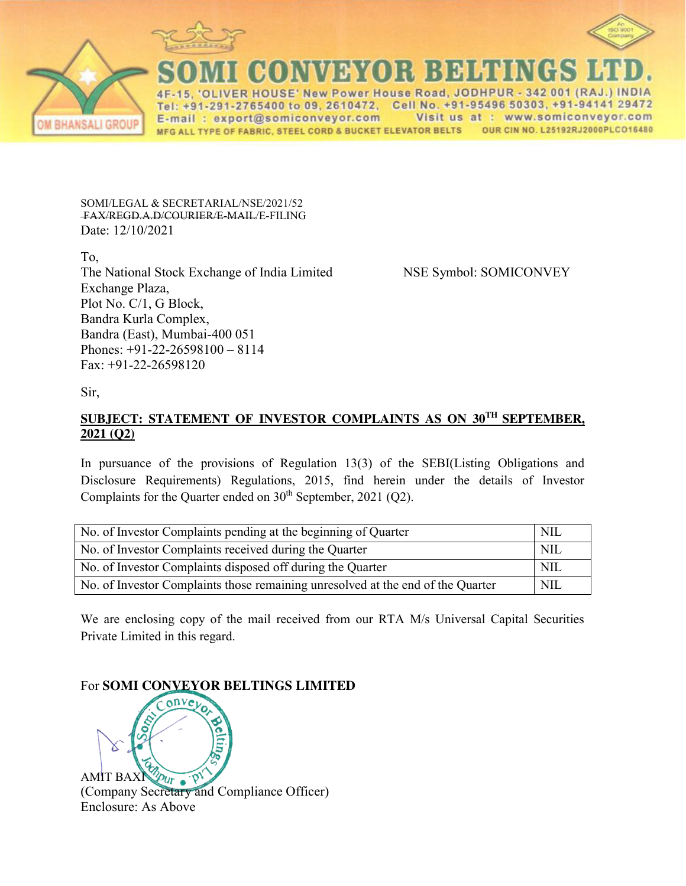

R HOUSE' New Power House Road, JODHPUR 342 001 (RAJ 1-291-2765400 to 09, 2610472, Cell No. +91-95496 50303, +91-94141 29472 E-mail: export@somiconveyor.com Visit us at : www.somiconveyor.com MFG ALL TYPE OF FABRIC, STEEL CORD & BUCKET ELEVATOR BELTS OUR CIN NO. L25192RJ2000PLCO16480

SOMI/LEGAL & SECRETARIAL/NSE/2021/52 FAX/REGD.A.D/COURIER/E-MAIL/E-FILING Date: 12/10/2021

To, The National Stock Exchange of India Limited NSE Symbol: SOMICONVEY Exchange Plaza, Plot No. C/1, G Block, Bandra Kurla Complex, Bandra (East), Mumbai-400 051 Phones: +91-22-26598100 – 8114 Fax: +91-22-26598120

Sir,

## **SUBJECT: STATEMENT OF INVESTOR COMPLAINTS AS ON 30TH SEPTEMBER, 2021 (Q2)**

In pursuance of the provisions of Regulation 13(3) of the SEBI(Listing Obligations and Disclosure Requirements) Regulations, 2015, find herein under the details of Investor Complaints for the Quarter ended on  $30<sup>th</sup>$  September, 2021 (Q2).

| No. of Investor Complaints pending at the beginning of Quarter                  | NII.       |
|---------------------------------------------------------------------------------|------------|
| No. of Investor Complaints received during the Quarter                          | <b>NIL</b> |
| No. of Investor Complaints disposed off during the Quarter                      | NIL        |
| No. of Investor Complaints those remaining unresolved at the end of the Quarter | <b>NIL</b> |

We are enclosing copy of the mail received from our RTA M/s Universal Capital Securities Private Limited in this regard.

## For **SOMI CONVEYOR BELTINGS LIMITED**

 $_{0}$ n $_{\rm V}$ AMIT BAXING  $\eta_{\text{tr}}$  and Compliance Officer) AMIT BAXI Enclosure: As Above